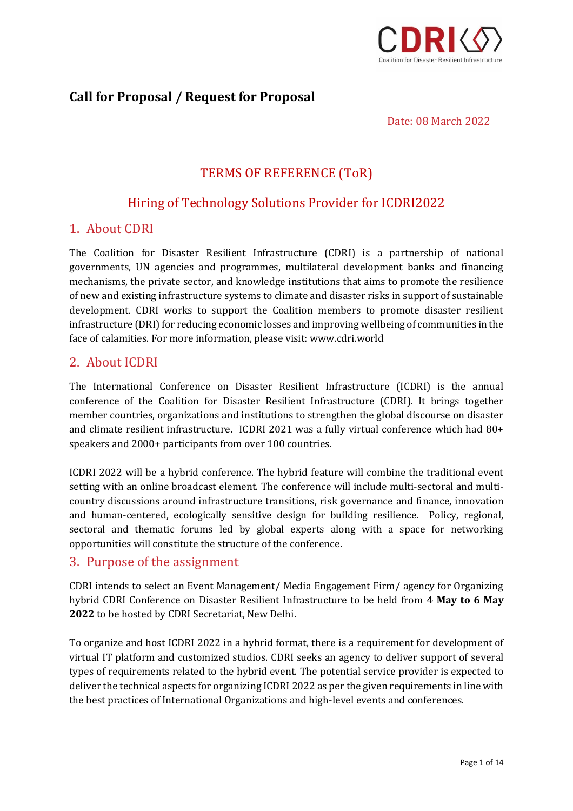

# **Call for Proposal / Request for Proposal**

Date: 08 March 2022

# TERMS OF REFERENCE (ToR)

# Hiring of Technology Solutions Provider for ICDRI2022

## 1. About CDRI

The Coalition for Disaster Resilient Infrastructure (CDRI) is a partnership of national governments, UN agencies and programmes, multilateral development banks and financing mechanisms, the private sector, and knowledge institutions that aims to promote the resilience of new and existing infrastructure systems to climate and disaster risks in support of sustainable development. CDRI works to support the Coalition members to promote disaster resilient infrastructure (DRI) for reducing economic losses and improving wellbeing of communities in the face of calamities. For more information, please visit: www.cdri.world

# 2. About ICDRI

The International Conference on Disaster Resilient Infrastructure (ICDRI) is the annual conference of the Coalition for Disaster Resilient Infrastructure (CDRI). It brings together member countries, organizations and institutions to strengthen the global discourse on disaster and climate resilient infrastructure. ICDRI 2021 was a fully virtual conference which had 80+ speakers and 2000+ participants from over 100 countries.

ICDRI 2022 will be a hybrid conference. The hybrid feature will combine the traditional event setting with an online broadcast element. The conference will include multi-sectoral and multicountry discussions around infrastructure transitions, risk governance and finance, innovation and human-centered, ecologically sensitive design for building resilience. Policy, regional, sectoral and thematic forums led by global experts along with a space for networking opportunities will constitute the structure of the conference.

## 3. Purpose of the assignment

CDRI intends to select an Event Management/ Media Engagement Firm/ agency for Organizing hybrid CDRI Conference on Disaster Resilient Infrastructure to be held from **4 May to 6 May 2022** to be hosted by CDRI Secretariat, New Delhi.

To organize and host ICDRI 2022 in a hybrid format, there is a requirement for development of virtual IT platform and customized studios. CDRI seeks an agency to deliver support of several types of requirements related to the hybrid event. The potential service provider is expected to deliver the technical aspects for organizing ICDRI 2022 as per the given requirements in line with the best practices of International Organizations and high-level events and conferences.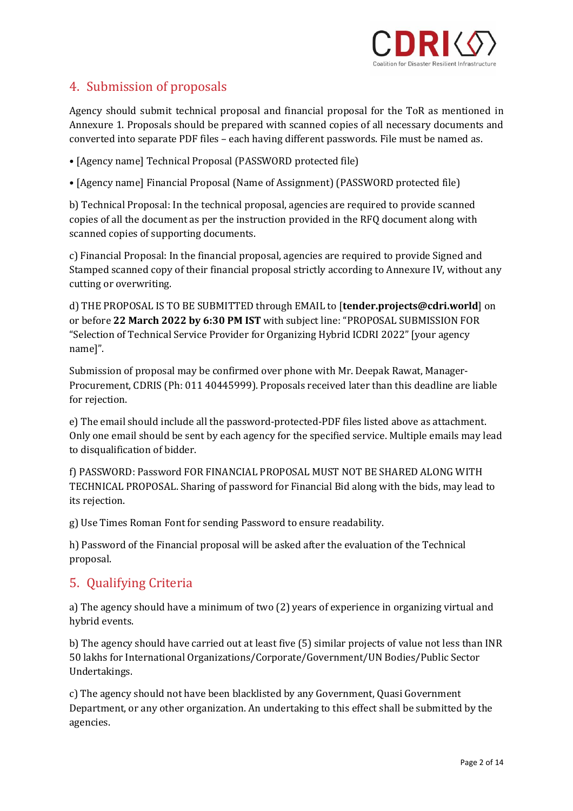

# 4. Submission of proposals

Agency should submit technical proposal and financial proposal for the ToR as mentioned in Annexure 1. Proposals should be prepared with scanned copies of all necessary documents and converted into separate PDF files – each having different passwords. File must be named as.

- [Agency name] Technical Proposal (PASSWORD protected file)
- [Agency name] Financial Proposal (Name of Assignment) (PASSWORD protected file)

b) Technical Proposal: In the technical proposal, agencies are required to provide scanned copies of all the document as per the instruction provided in the RFQ document along with scanned copies of supporting documents.

c) Financial Proposal: In the financial proposal, agencies are required to provide Signed and Stamped scanned copy of their financial proposal strictly according to Annexure IV, without any cutting or overwriting.

d) THE PROPOSAL IS TO BE SUBMITTED through EMAIL to [**tender.projects@cdri.world**] on or before **22 March 2022 by 6:30 PM IST** with subject line: "PROPOSAL SUBMISSION FOR "Selection of Technical Service Provider for Organizing Hybrid ICDRI 2022" [your agency name]".

Submission of proposal may be confirmed over phone with Mr. Deepak Rawat, Manager-Procurement, CDRIS (Ph: 011 40445999). Proposals received later than this deadline are liable for rejection.

e) The email should include all the password-protected-PDF files listed above as attachment. Only one email should be sent by each agency for the specified service. Multiple emails may lead to disqualification of bidder.

f) PASSWORD: Password FOR FINANCIAL PROPOSAL MUST NOT BE SHARED ALONG WITH TECHNICAL PROPOSAL. Sharing of password for Financial Bid along with the bids, may lead to its rejection.

g) Use Times Roman Font for sending Password to ensure readability.

h) Password of the Financial proposal will be asked after the evaluation of the Technical proposal.

# 5. Qualifying Criteria

a) The agency should have a minimum of two (2) years of experience in organizing virtual and hybrid events.

b) The agency should have carried out at least five (5) similar projects of value not less than INR 50 lakhs for International Organizations/Corporate/Government/UN Bodies/Public Sector Undertakings.

c) The agency should not have been blacklisted by any Government, Quasi Government Department, or any other organization. An undertaking to this effect shall be submitted by the agencies.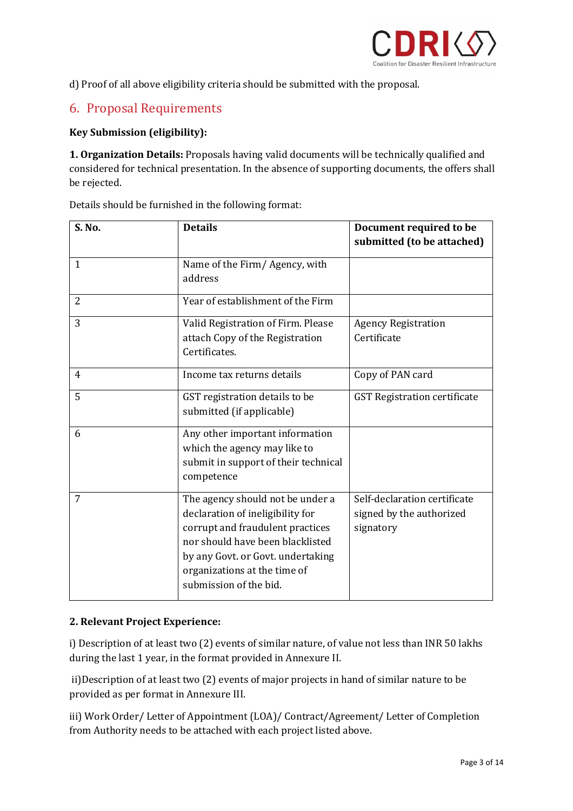

d) Proof of all above eligibility criteria should be submitted with the proposal.

# 6. Proposal Requirements

## **Key Submission (eligibility):**

**1. Organization Details:** Proposals having valid documents will be technically qualified and considered for technical presentation. In the absence of supporting documents, the offers shall be rejected.

| <b>S. No.</b>  | <b>Details</b>                                                                                                                                                                                                                              | Document required to be<br>submitted (to be attached)                 |  |  |
|----------------|---------------------------------------------------------------------------------------------------------------------------------------------------------------------------------------------------------------------------------------------|-----------------------------------------------------------------------|--|--|
| 1              | Name of the Firm/Agency, with<br>address                                                                                                                                                                                                    |                                                                       |  |  |
| $\overline{2}$ | Year of establishment of the Firm                                                                                                                                                                                                           |                                                                       |  |  |
| 3              | Valid Registration of Firm. Please<br>attach Copy of the Registration<br>Certificates.                                                                                                                                                      | <b>Agency Registration</b><br>Certificate                             |  |  |
| 4              | Income tax returns details                                                                                                                                                                                                                  | Copy of PAN card                                                      |  |  |
| 5              | GST registration details to be<br>submitted (if applicable)                                                                                                                                                                                 | <b>GST Registration certificate</b>                                   |  |  |
| 6              | Any other important information<br>which the agency may like to<br>submit in support of their technical<br>competence                                                                                                                       |                                                                       |  |  |
| 7              | The agency should not be under a<br>declaration of ineligibility for<br>corrupt and fraudulent practices<br>nor should have been blacklisted<br>by any Govt. or Govt. undertaking<br>organizations at the time of<br>submission of the bid. | Self-declaration certificate<br>signed by the authorized<br>signatory |  |  |

Details should be furnished in the following format:

### **2. Relevant Project Experience:**

i) Description of at least two (2) events of similar nature, of value not less than INR 50 lakhs during the last 1 year, in the format provided in Annexure II.

ii)Description of at least two (2) events of major projects in hand of similar nature to be provided as per format in Annexure III.

iii) Work Order/ Letter of Appointment (LOA)/ Contract/Agreement/ Letter of Completion from Authority needs to be attached with each project listed above.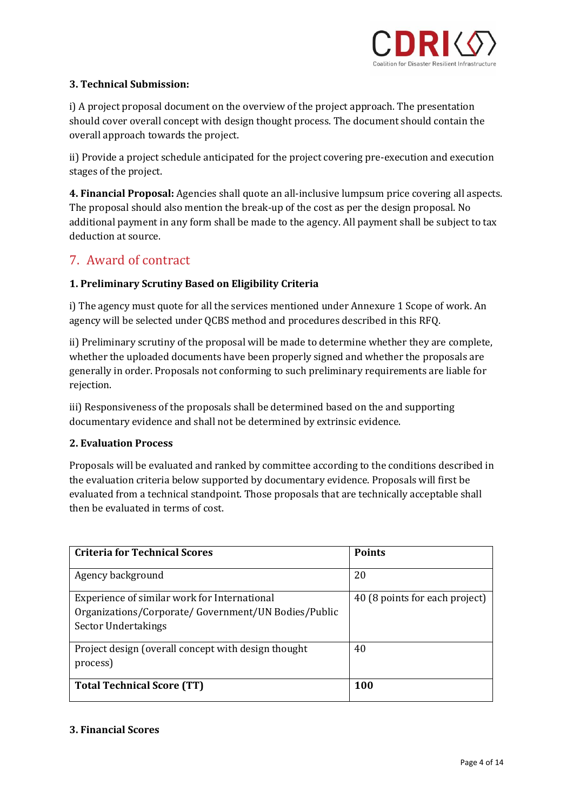

## **3. Technical Submission:**

i) A project proposal document on the overview of the project approach. The presentation should cover overall concept with design thought process. The document should contain the overall approach towards the project.

ii) Provide a project schedule anticipated for the project covering pre-execution and execution stages of the project.

**4. Financial Proposal:** Agencies shall quote an all-inclusive lumpsum price covering all aspects. The proposal should also mention the break-up of the cost as per the design proposal. No additional payment in any form shall be made to the agency. All payment shall be subject to tax deduction at source.

# 7. Award of contract

## **1. Preliminary Scrutiny Based on Eligibility Criteria**

i) The agency must quote for all the services mentioned under Annexure 1 Scope of work. An agency will be selected under QCBS method and procedures described in this RFQ.

ii) Preliminary scrutiny of the proposal will be made to determine whether they are complete, whether the uploaded documents have been properly signed and whether the proposals are generally in order. Proposals not conforming to such preliminary requirements are liable for rejection.

iii) Responsiveness of the proposals shall be determined based on the and supporting documentary evidence and shall not be determined by extrinsic evidence.

### **2. Evaluation Process**

Proposals will be evaluated and ranked by committee according to the conditions described in the evaluation criteria below supported by documentary evidence. Proposals will first be evaluated from a technical standpoint. Those proposals that are technically acceptable shall then be evaluated in terms of cost.

| <b>Criteria for Technical Scores</b>                                                                                        | <b>Points</b>                  |
|-----------------------------------------------------------------------------------------------------------------------------|--------------------------------|
| Agency background                                                                                                           | 20                             |
| Experience of similar work for International<br>Organizations/Corporate/ Government/UN Bodies/Public<br>Sector Undertakings | 40 (8 points for each project) |
| Project design (overall concept with design thought<br>process)                                                             | 40                             |
| <b>Total Technical Score (TT)</b>                                                                                           | 100                            |

#### **3. Financial Scores**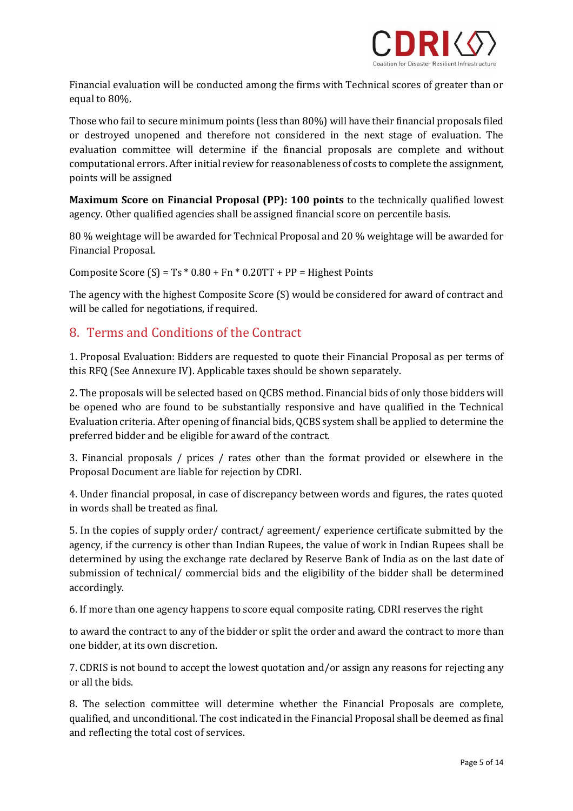

Financial evaluation will be conducted among the firms with Technical scores of greater than or equal to 80%.

Those who fail to secure minimum points (less than 80%) will have their financial proposals filed or destroyed unopened and therefore not considered in the next stage of evaluation. The evaluation committee will determine if the financial proposals are complete and without computational errors. After initial review for reasonableness of costs to complete the assignment, points will be assigned

**Maximum Score on Financial Proposal (PP): 100 points** to the technically qualified lowest agency. Other qualified agencies shall be assigned financial score on percentile basis.

80 % weightage will be awarded for Technical Proposal and 20 % weightage will be awarded for Financial Proposal.

Composite Score  $(S) = Ts * 0.80 + Fn * 0.20TT + PP = Higher Points$ 

The agency with the highest Composite Score (S) would be considered for award of contract and will be called for negotiations, if required.

# 8. Terms and Conditions of the Contract

1. Proposal Evaluation: Bidders are requested to quote their Financial Proposal as per terms of this RFQ (See Annexure IV). Applicable taxes should be shown separately.

2. The proposals will be selected based on QCBS method. Financial bids of only those bidders will be opened who are found to be substantially responsive and have qualified in the Technical Evaluation criteria. After opening of financial bids, QCBS system shall be applied to determine the preferred bidder and be eligible for award of the contract.

3. Financial proposals / prices / rates other than the format provided or elsewhere in the Proposal Document are liable for rejection by CDRI.

4. Under financial proposal, in case of discrepancy between words and figures, the rates quoted in words shall be treated as final.

5. In the copies of supply order/ contract/ agreement/ experience certificate submitted by the agency, if the currency is other than Indian Rupees, the value of work in Indian Rupees shall be determined by using the exchange rate declared by Reserve Bank of India as on the last date of submission of technical/ commercial bids and the eligibility of the bidder shall be determined accordingly.

6. If more than one agency happens to score equal composite rating, CDRI reserves the right

to award the contract to any of the bidder or split the order and award the contract to more than one bidder, at its own discretion.

7. CDRIS is not bound to accept the lowest quotation and/or assign any reasons for rejecting any or all the bids.

8. The selection committee will determine whether the Financial Proposals are complete, qualified, and unconditional. The cost indicated in the Financial Proposal shall be deemed as final and reflecting the total cost of services.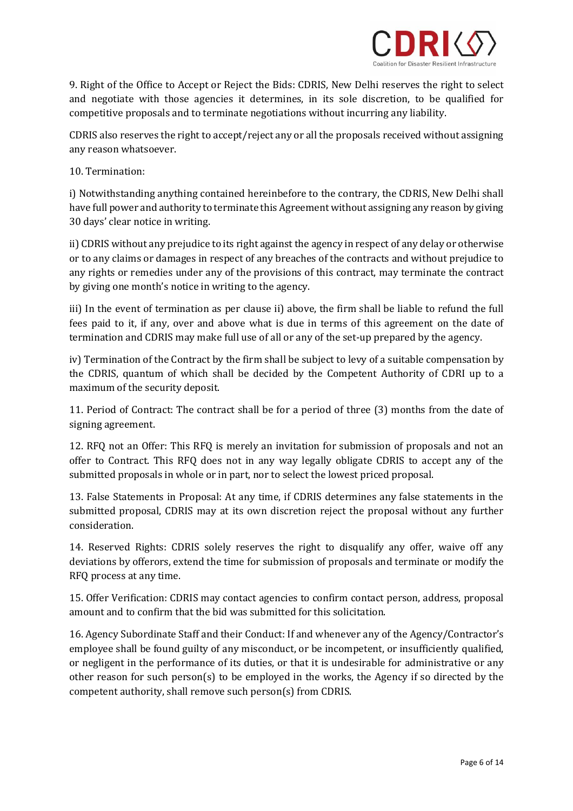

9. Right of the Office to Accept or Reject the Bids: CDRIS, New Delhi reserves the right to select and negotiate with those agencies it determines, in its sole discretion, to be qualified for competitive proposals and to terminate negotiations without incurring any liability.

CDRIS also reserves the right to accept/reject any or all the proposals received without assigning any reason whatsoever.

#### 10. Termination:

i) Notwithstanding anything contained hereinbefore to the contrary, the CDRIS, New Delhi shall have full power and authority to terminate this Agreement without assigning any reason by giving 30 days' clear notice in writing.

ii) CDRIS without any prejudice to its right against the agency in respect of any delay or otherwise or to any claims or damages in respect of any breaches of the contracts and without prejudice to any rights or remedies under any of the provisions of this contract, may terminate the contract by giving one month's notice in writing to the agency.

iii) In the event of termination as per clause ii) above, the firm shall be liable to refund the full fees paid to it, if any, over and above what is due in terms of this agreement on the date of termination and CDRIS may make full use of all or any of the set-up prepared by the agency.

iv) Termination of the Contract by the firm shall be subject to levy of a suitable compensation by the CDRIS, quantum of which shall be decided by the Competent Authority of CDRI up to a maximum of the security deposit.

11. Period of Contract: The contract shall be for a period of three (3) months from the date of signing agreement.

12. RFQ not an Offer: This RFQ is merely an invitation for submission of proposals and not an offer to Contract. This RFQ does not in any way legally obligate CDRIS to accept any of the submitted proposals in whole or in part, nor to select the lowest priced proposal.

13. False Statements in Proposal: At any time, if CDRIS determines any false statements in the submitted proposal, CDRIS may at its own discretion reject the proposal without any further consideration.

14. Reserved Rights: CDRIS solely reserves the right to disqualify any offer, waive off any deviations by offerors, extend the time for submission of proposals and terminate or modify the RFQ process at any time.

15. Offer Verification: CDRIS may contact agencies to confirm contact person, address, proposal amount and to confirm that the bid was submitted for this solicitation.

16. Agency Subordinate Staff and their Conduct: If and whenever any of the Agency/Contractor's employee shall be found guilty of any misconduct, or be incompetent, or insufficiently qualified, or negligent in the performance of its duties, or that it is undesirable for administrative or any other reason for such person(s) to be employed in the works, the Agency if so directed by the competent authority, shall remove such person(s) from CDRIS.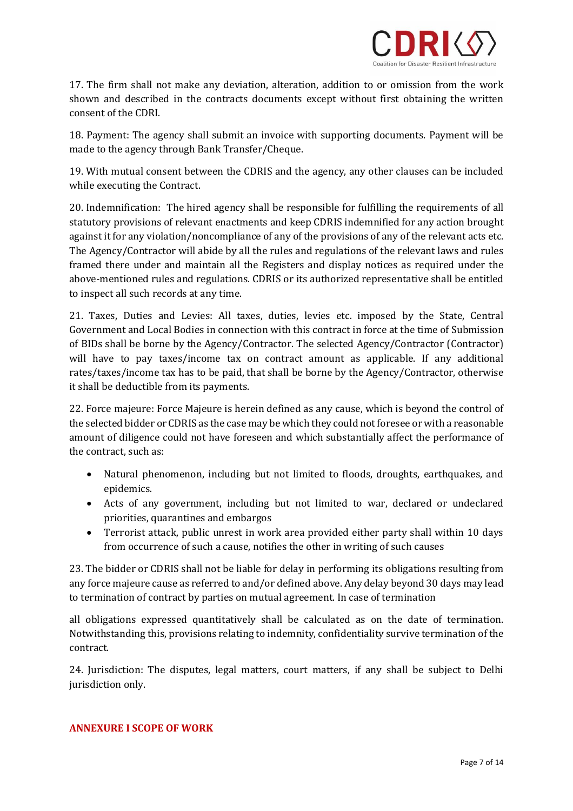

17. The firm shall not make any deviation, alteration, addition to or omission from the work shown and described in the contracts documents except without first obtaining the written consent of the CDRI.

18. Payment: The agency shall submit an invoice with supporting documents. Payment will be made to the agency through Bank Transfer/Cheque.

19. With mutual consent between the CDRIS and the agency, any other clauses can be included while executing the Contract.

20. Indemnification: The hired agency shall be responsible for fulfilling the requirements of all statutory provisions of relevant enactments and keep CDRIS indemnified for any action brought against it for any violation/noncompliance of any of the provisions of any of the relevant acts etc. The Agency/Contractor will abide by all the rules and regulations of the relevant laws and rules framed there under and maintain all the Registers and display notices as required under the above-mentioned rules and regulations. CDRIS or its authorized representative shall be entitled to inspect all such records at any time.

21. Taxes, Duties and Levies: All taxes, duties, levies etc. imposed by the State, Central Government and Local Bodies in connection with this contract in force at the time of Submission of BIDs shall be borne by the Agency/Contractor. The selected Agency/Contractor (Contractor) will have to pay taxes/income tax on contract amount as applicable. If any additional rates/taxes/income tax has to be paid, that shall be borne by the Agency/Contractor, otherwise it shall be deductible from its payments.

22. Force majeure: Force Majeure is herein defined as any cause, which is beyond the control of the selected bidder or CDRIS as the case may be which they could not foresee or with a reasonable amount of diligence could not have foreseen and which substantially affect the performance of the contract, such as:

- Natural phenomenon, including but not limited to floods, droughts, earthquakes, and epidemics.
- Acts of any government, including but not limited to war, declared or undeclared priorities, quarantines and embargos
- Terrorist attack, public unrest in work area provided either party shall within 10 days from occurrence of such a cause, notifies the other in writing of such causes

23. The bidder or CDRIS shall not be liable for delay in performing its obligations resulting from any force majeure cause as referred to and/or defined above. Any delay beyond 30 days may lead to termination of contract by parties on mutual agreement. In case of termination

all obligations expressed quantitatively shall be calculated as on the date of termination. Notwithstanding this, provisions relating to indemnity, confidentiality survive termination of the contract.

24. Jurisdiction: The disputes, legal matters, court matters, if any shall be subject to Delhi jurisdiction only.

#### **ANNEXURE I SCOPE OF WORK**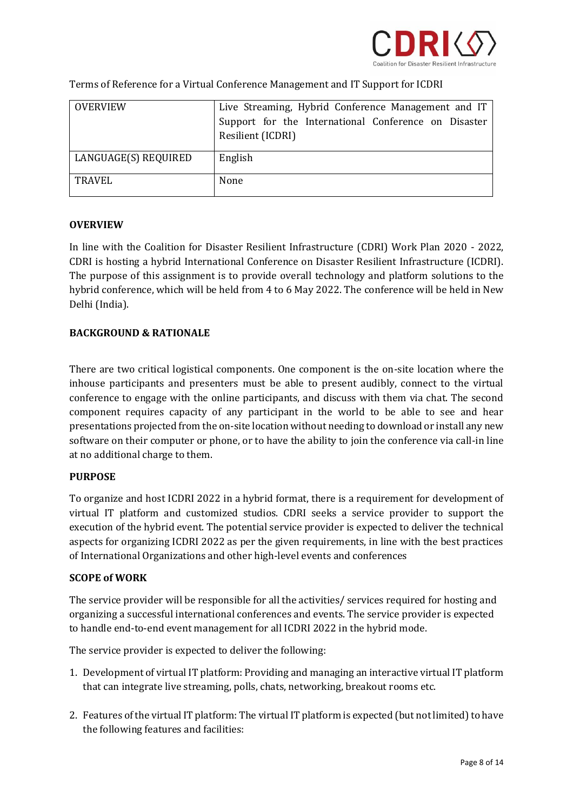

| OVERVIEW             | Live Streaming, Hybrid Conference Management and IT  |  |  |  |  |
|----------------------|------------------------------------------------------|--|--|--|--|
|                      | Support for the International Conference on Disaster |  |  |  |  |
|                      | Resilient (ICDRI)                                    |  |  |  |  |
|                      |                                                      |  |  |  |  |
| LANGUAGE(S) REQUIRED | English                                              |  |  |  |  |
| <b>TRAVEL</b>        | None                                                 |  |  |  |  |

Terms of Reference for a Virtual Conference Management and IT Support for ICDRI

#### **OVERVIEW**

In line with the Coalition for Disaster Resilient Infrastructure (CDRI) Work Plan 2020 - 2022, CDRI is hosting a hybrid International Conference on Disaster Resilient Infrastructure (ICDRI). The purpose of this assignment is to provide overall technology and platform solutions to the hybrid conference, which will be held from 4 to 6 May 2022. The conference will be held in New Delhi (India).

#### **BACKGROUND & RATIONALE**

There are two critical logistical components. One component is the on-site location where the inhouse participants and presenters must be able to present audibly, connect to the virtual conference to engage with the online participants, and discuss with them via chat. The second component requires capacity of any participant in the world to be able to see and hear presentations projected from the on-site location without needing to download or install any new software on their computer or phone, or to have the ability to join the conference via call-in line at no additional charge to them.

#### **PURPOSE**

To organize and host ICDRI 2022 in a hybrid format, there is a requirement for development of virtual IT platform and customized studios. CDRI seeks a service provider to support the execution of the hybrid event. The potential service provider is expected to deliver the technical aspects for organizing ICDRI 2022 as per the given requirements, in line with the best practices of International Organizations and other high-level events and conferences

#### **SCOPE of WORK**

The service provider will be responsible for all the activities/ services required for hosting and organizing a successful international conferences and events. The service provider is expected to handle end-to-end event management for all ICDRI 2022 in the hybrid mode.

The service provider is expected to deliver the following:

- 1. Development of virtual IT platform: Providing and managing an interactive virtual IT platform that can integrate live streaming, polls, chats, networking, breakout rooms etc.
- 2. Features of the virtual IT platform: The virtual IT platform is expected (but not limited) to have the following features and facilities: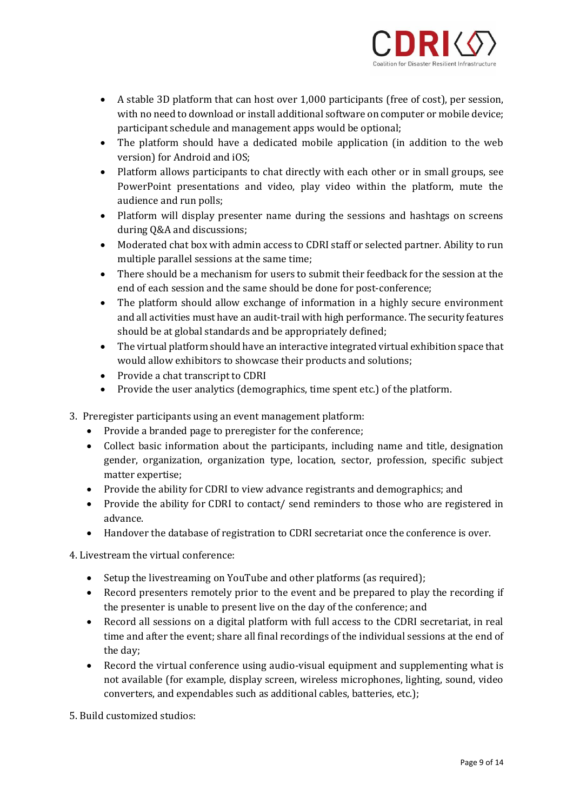

- A stable 3D platform that can host over 1,000 participants (free of cost), per session, with no need to download or install additional software on computer or mobile device; participant schedule and management apps would be optional;
- The platform should have a dedicated mobile application (in addition to the web version) for Android and iOS;
- Platform allows participants to chat directly with each other or in small groups, see PowerPoint presentations and video, play video within the platform, mute the audience and run polls;
- Platform will display presenter name during the sessions and hashtags on screens during Q&A and discussions;
- Moderated chat box with admin access to CDRI staff or selected partner. Ability to run multiple parallel sessions at the same time;
- There should be a mechanism for users to submit their feedback for the session at the end of each session and the same should be done for post-conference;
- The platform should allow exchange of information in a highly secure environment and all activities must have an audit-trail with high performance. The security features should be at global standards and be appropriately defined;
- The virtual platform should have an interactive integrated virtual exhibition space that would allow exhibitors to showcase their products and solutions;
- Provide a chat transcript to CDRI
- Provide the user analytics (demographics, time spent etc.) of the platform.
- 3. Preregister participants using an event management platform:
	- Provide a branded page to preregister for the conference;
	- Collect basic information about the participants, including name and title, designation gender, organization, organization type, location, sector, profession, specific subject matter expertise;
	- Provide the ability for CDRI to view advance registrants and demographics; and
	- Provide the ability for CDRI to contact/ send reminders to those who are registered in advance.
	- Handover the database of registration to CDRI secretariat once the conference is over.

4. Livestream the virtual conference:

- Setup the livestreaming on YouTube and other platforms (as required);
- Record presenters remotely prior to the event and be prepared to play the recording if the presenter is unable to present live on the day of the conference; and
- Record all sessions on a digital platform with full access to the CDRI secretariat, in real time and after the event; share all final recordings of the individual sessions at the end of the day;
- Record the virtual conference using audio-visual equipment and supplementing what is not available (for example, display screen, wireless microphones, lighting, sound, video converters, and expendables such as additional cables, batteries, etc.);

5. Build customized studios: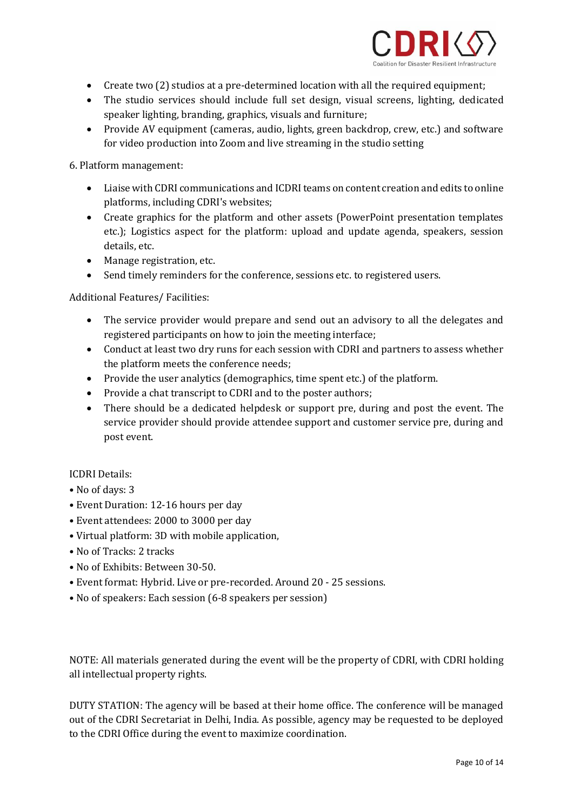

- Create two (2) studios at a pre-determined location with all the required equipment;
- The studio services should include full set design, visual screens, lighting, dedicated speaker lighting, branding, graphics, visuals and furniture;
- Provide AV equipment (cameras, audio, lights, green backdrop, crew, etc.) and software for video production into Zoom and live streaming in the studio setting

6. Platform management:

- Liaise with CDRI communications and ICDRI teams on content creation and edits to online platforms, including CDRI's websites;
- Create graphics for the platform and other assets (PowerPoint presentation templates etc.); Logistics aspect for the platform: upload and update agenda, speakers, session details, etc.
- Manage registration, etc.
- Send timely reminders for the conference, sessions etc. to registered users.

Additional Features/ Facilities:

- The service provider would prepare and send out an advisory to all the delegates and registered participants on how to join the meeting interface;
- Conduct at least two dry runs for each session with CDRI and partners to assess whether the platform meets the conference needs;
- Provide the user analytics (demographics, time spent etc.) of the platform.
- Provide a chat transcript to CDRI and to the poster authors;
- There should be a dedicated helpdesk or support pre, during and post the event. The service provider should provide attendee support and customer service pre, during and post event.

#### ICDRI Details:

- No of days: 3
- Event Duration: 12-16 hours per day
- Event attendees: 2000 to 3000 per day
- Virtual platform: 3D with mobile application,
- No of Tracks: 2 tracks
- No of Exhibits: Between 30-50.
- Event format: Hybrid. Live or pre-recorded. Around 20 25 sessions.
- No of speakers: Each session (6-8 speakers per session)

NOTE: All materials generated during the event will be the property of CDRI, with CDRI holding all intellectual property rights.

DUTY STATION: The agency will be based at their home office. The conference will be managed out of the CDRI Secretariat in Delhi, India. As possible, agency may be requested to be deployed to the CDRI Office during the event to maximize coordination.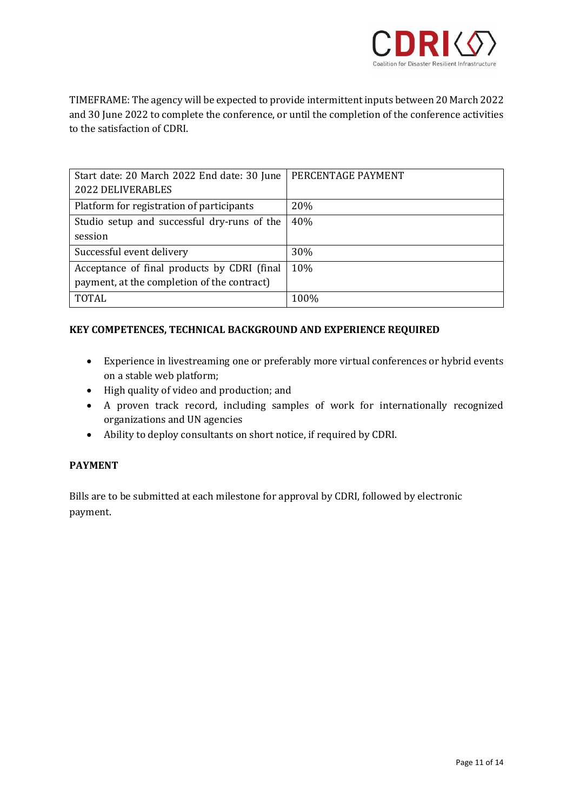

TIMEFRAME: The agency will be expected to provide intermittent inputs between 20 March 2022 and 30 June 2022 to complete the conference, or until the completion of the conference activities to the satisfaction of CDRI.

| Start date: 20 March 2022 End date: 30 June  | PERCENTAGE PAYMENT |
|----------------------------------------------|--------------------|
| <b>2022 DELIVERABLES</b>                     |                    |
| Platform for registration of participants    | 20%                |
| Studio setup and successful dry-runs of the  | 40%                |
| session                                      |                    |
| Successful event delivery                    | 30%                |
| Acceptance of final products by CDRI (final) | 10%                |
| payment, at the completion of the contract)  |                    |
| <b>TOTAL</b>                                 | 100%               |

### **KEY COMPETENCES, TECHNICAL BACKGROUND AND EXPERIENCE REQUIRED**

- Experience in livestreaming one or preferably more virtual conferences or hybrid events on a stable web platform;
- High quality of video and production; and
- A proven track record, including samples of work for internationally recognized organizations and UN agencies
- Ability to deploy consultants on short notice, if required by CDRI.

#### **PAYMENT**

Bills are to be submitted at each milestone for approval by CDRI, followed by electronic payment.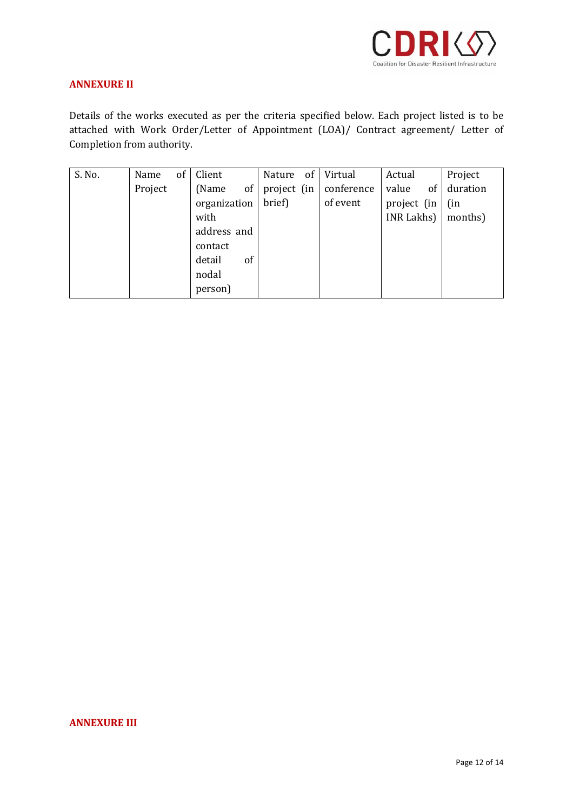

#### **ANNEXURE II**

Details of the works executed as per the criteria specified below. Each project listed is to be attached with Work Order/Letter of Appointment (LOA)/ Contract agreement/ Letter of Completion from authority.

| S. No. | Name    | of | Client       |           |        | Nature of Virtual              | Actual      | Project  |
|--------|---------|----|--------------|-----------|--------|--------------------------------|-------------|----------|
|        | Project |    | (Name)       | $of \mid$ |        | project (in $\vert$ conference | value<br>of | duration |
|        |         |    | organization |           | brief) | of event                       | project (in | (in      |
|        |         |    | with         |           |        |                                | INR Lakhs)  | months)  |
|        |         |    | address and  |           |        |                                |             |          |
|        |         |    | contact      |           |        |                                |             |          |
|        |         |    | detail       | of        |        |                                |             |          |
|        |         |    | nodal        |           |        |                                |             |          |
|        |         |    | person)      |           |        |                                |             |          |

### **ANNEXURE III**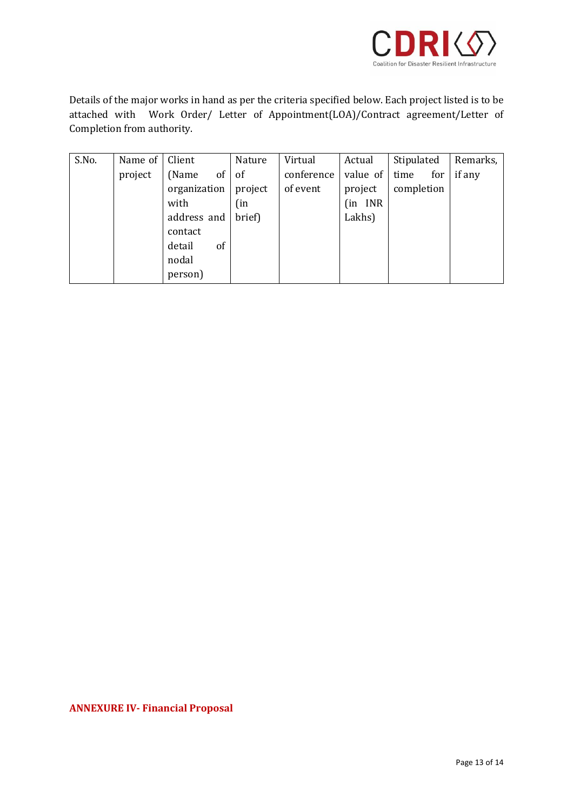

Details of the major works in hand as per the criteria specified below. Each project listed is to be attached with Work Order/ Letter of Appointment(LOA)/Contract agreement/Letter of Completion from authority.

| S.No. | Name of | Client       | Nature  | Virtual    | Actual       | Stipulated  | Remarks,           |
|-------|---------|--------------|---------|------------|--------------|-------------|--------------------|
|       | project | of<br>(Name  | of      | conference | value of $ $ | time<br>for | $\parallel$ if any |
|       |         | organization | project | of event   | project      | completion  |                    |
|       |         | with         | (in     |            | (in INR      |             |                    |
|       |         | address and  | brief)  |            | Lakhs)       |             |                    |
|       |         | contact      |         |            |              |             |                    |
|       |         | detail<br>of |         |            |              |             |                    |
|       |         | nodal        |         |            |              |             |                    |
|       |         | person)      |         |            |              |             |                    |

**ANNEXURE IV- Financial Proposal**